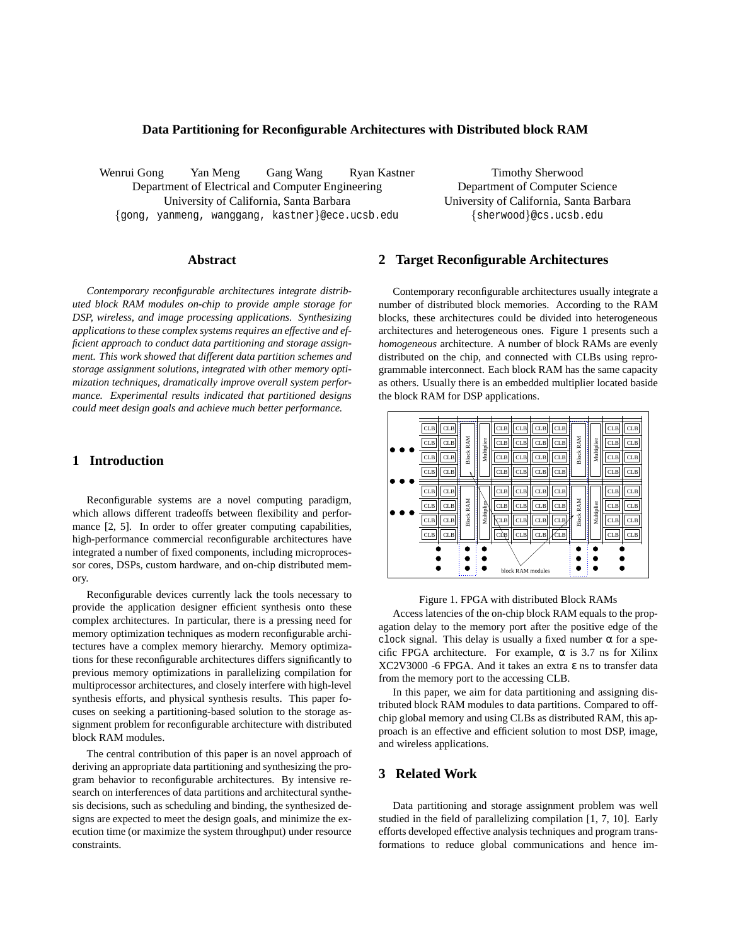#### **Data Partitioning for Reconfigurable Architectures with Distributed block RAM**

Wenrui Gong Yan Meng Gang Wang Ryan Kastner Department of Electrical and Computer Engineering University of California, Santa Barbara {gong, yanmeng, wanggang, kastner}@ece.ucsb.edu

Timothy Sherwood Department of Computer Science University of California, Santa Barbara {sherwood}@cs.ucsb.edu

#### **Abstract**

*Contemporary reconfigurable architectures integrate distributed block RAM modules on-chip to provide ample storage for DSP, wireless, and image processing applications. Synthesizing applications to these complex systems requires an effective and efficient approach to conduct data partitioning and storage assignment. This work showed that different data partition schemes and storage assignment solutions, integrated with other memory optimization techniques, dramatically improve overall system performance. Experimental results indicated that partitioned designs could meet design goals and achieve much better performance.*

## **1 Introduction**

Reconfigurable systems are a novel computing paradigm, which allows different tradeoffs between flexibility and performance [2, 5]. In order to offer greater computing capabilities, high-performance commercial reconfigurable architectures have integrated a number of fixed components, including microprocessor cores, DSPs, custom hardware, and on-chip distributed memory.

Reconfigurable devices currently lack the tools necessary to provide the application designer efficient synthesis onto these complex architectures. In particular, there is a pressing need for memory optimization techniques as modern reconfigurable architectures have a complex memory hierarchy. Memory optimizations for these reconfigurable architectures differs significantly to previous memory optimizations in parallelizing compilation for multiprocessor architectures, and closely interfere with high-level synthesis efforts, and physical synthesis results. This paper focuses on seeking a partitioning-based solution to the storage assignment problem for reconfigurable architecture with distributed block RAM modules.

The central contribution of this paper is an novel approach of deriving an appropriate data partitioning and synthesizing the program behavior to reconfigurable architectures. By intensive research on interferences of data partitions and architectural synthesis decisions, such as scheduling and binding, the synthesized designs are expected to meet the design goals, and minimize the execution time (or maximize the system throughput) under resource constraints.

## **2 Target Reconfigurable Architectures**

Contemporary reconfigurable architectures usually integrate a number of distributed block memories. According to the RAM blocks, these architectures could be divided into heterogeneous architectures and heterogeneous ones. Figure 1 presents such a *homogeneous* architecture. A number of block RAMs are evenly distributed on the chip, and connected with CLBs using reprogrammable interconnect. Each block RAM has the same capacity as others. Usually there is an embedded multiplier located baside the block RAM for DSP applications.



#### Figure 1. FPGA with distributed Block RAMs

Access latencies of the on-chip block RAM equals to the propagation delay to the memory port after the positive edge of the clock signal. This delay is usually a fixed number  $\alpha$  for a specific FPGA architecture. For example,  $\alpha$  is 3.7 ns for Xilinx XC2V3000 -6 FPGA. And it takes an extra ε ns to transfer data from the memory port to the accessing CLB.

In this paper, we aim for data partitioning and assigning distributed block RAM modules to data partitions. Compared to offchip global memory and using CLBs as distributed RAM, this approach is an effective and efficient solution to most DSP, image, and wireless applications.

# **3 Related Work**

Data partitioning and storage assignment problem was well studied in the field of parallelizing compilation [1, 7, 10]. Early efforts developed effective analysis techniques and program transformations to reduce global communications and hence im-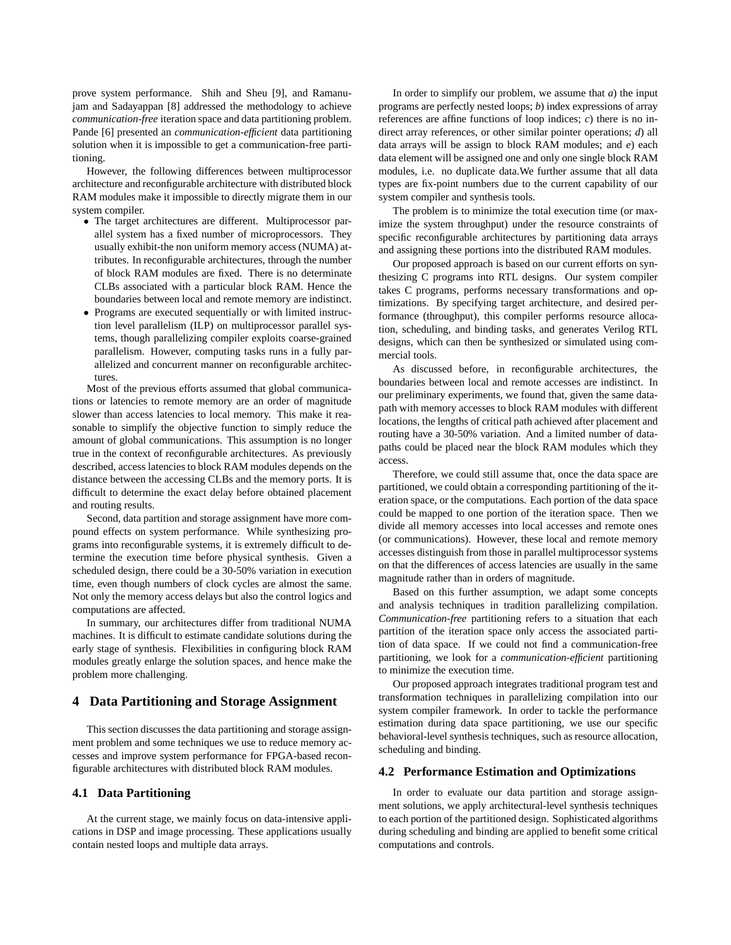prove system performance. Shih and Sheu [9], and Ramanujam and Sadayappan [8] addressed the methodology to achieve *communication-free* iteration space and data partitioning problem. Pande [6] presented an *communication-efficient* data partitioning solution when it is impossible to get a communication-free partitioning.

However, the following differences between multiprocessor architecture and reconfigurable architecture with distributed block RAM modules make it impossible to directly migrate them in our system compiler.

- The target architectures are different. Multiprocessor parallel system has a fixed number of microprocessors. They usually exhibit-the non uniform memory access (NUMA) attributes. In reconfigurable architectures, through the number of block RAM modules are fixed. There is no determinate CLBs associated with a particular block RAM. Hence the boundaries between local and remote memory are indistinct.
- Programs are executed sequentially or with limited instruction level parallelism (ILP) on multiprocessor parallel systems, though parallelizing compiler exploits coarse-grained parallelism. However, computing tasks runs in a fully parallelized and concurrent manner on reconfigurable architectures.

Most of the previous efforts assumed that global communications or latencies to remote memory are an order of magnitude slower than access latencies to local memory. This make it reasonable to simplify the objective function to simply reduce the amount of global communications. This assumption is no longer true in the context of reconfigurable architectures. As previously described, access latencies to block RAM modules depends on the distance between the accessing CLBs and the memory ports. It is difficult to determine the exact delay before obtained placement and routing results.

Second, data partition and storage assignment have more compound effects on system performance. While synthesizing programs into reconfigurable systems, it is extremely difficult to determine the execution time before physical synthesis. Given a scheduled design, there could be a 30-50% variation in execution time, even though numbers of clock cycles are almost the same. Not only the memory access delays but also the control logics and computations are affected.

In summary, our architectures differ from traditional NUMA machines. It is difficult to estimate candidate solutions during the early stage of synthesis. Flexibilities in configuring block RAM modules greatly enlarge the solution spaces, and hence make the problem more challenging.

## **4 Data Partitioning and Storage Assignment**

This section discusses the data partitioning and storage assignment problem and some techniques we use to reduce memory accesses and improve system performance for FPGA-based reconfigurable architectures with distributed block RAM modules.

### **4.1 Data Partitioning**

At the current stage, we mainly focus on data-intensive applications in DSP and image processing. These applications usually contain nested loops and multiple data arrays.

In order to simplify our problem, we assume that *a*) the input programs are perfectly nested loops; *b*) index expressions of array references are affine functions of loop indices; *c*) there is no indirect array references, or other similar pointer operations; *d*) all data arrays will be assign to block RAM modules; and *e*) each data element will be assigned one and only one single block RAM modules, i.e. no duplicate data.We further assume that all data types are fix-point numbers due to the current capability of our system compiler and synthesis tools.

The problem is to minimize the total execution time (or maximize the system throughput) under the resource constraints of specific reconfigurable architectures by partitioning data arrays and assigning these portions into the distributed RAM modules.

Our proposed approach is based on our current efforts on synthesizing C programs into RTL designs. Our system compiler takes C programs, performs necessary transformations and optimizations. By specifying target architecture, and desired performance (throughput), this compiler performs resource allocation, scheduling, and binding tasks, and generates Verilog RTL designs, which can then be synthesized or simulated using commercial tools.

As discussed before, in reconfigurable architectures, the boundaries between local and remote accesses are indistinct. In our preliminary experiments, we found that, given the same datapath with memory accesses to block RAM modules with different locations, the lengths of critical path achieved after placement and routing have a 30-50% variation. And a limited number of datapaths could be placed near the block RAM modules which they access.

Therefore, we could still assume that, once the data space are partitioned, we could obtain a corresponding partitioning of the iteration space, or the computations. Each portion of the data space could be mapped to one portion of the iteration space. Then we divide all memory accesses into local accesses and remote ones (or communications). However, these local and remote memory accesses distinguish from those in parallel multiprocessor systems on that the differences of access latencies are usually in the same magnitude rather than in orders of magnitude.

Based on this further assumption, we adapt some concepts and analysis techniques in tradition parallelizing compilation. *Communication-free* partitioning refers to a situation that each partition of the iteration space only access the associated partition of data space. If we could not find a communication-free partitioning, we look for a *communication-efficient* partitioning to minimize the execution time.

Our proposed approach integrates traditional program test and transformation techniques in parallelizing compilation into our system compiler framework. In order to tackle the performance estimation during data space partitioning, we use our specific behavioral-level synthesis techniques, such as resource allocation, scheduling and binding.

#### **4.2 Performance Estimation and Optimizations**

In order to evaluate our data partition and storage assignment solutions, we apply architectural-level synthesis techniques to each portion of the partitioned design. Sophisticated algorithms during scheduling and binding are applied to benefit some critical computations and controls.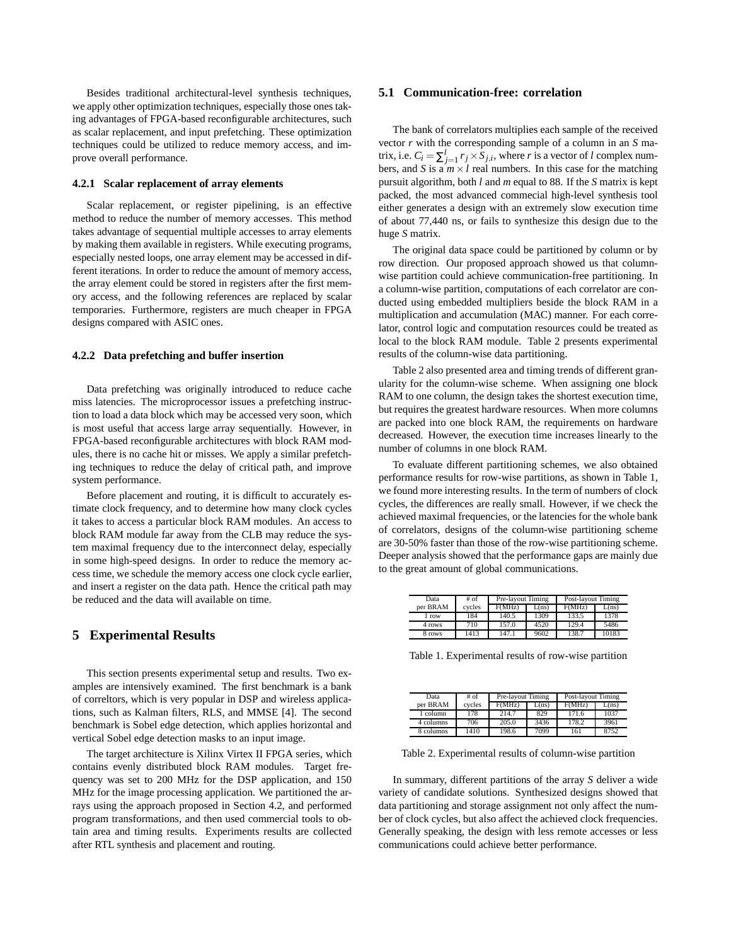Besides traditional architectural-level synthesis techniques, we apply other optimization techniques, especially those ones taking advantages of FPGA-based reconfigurable architectures, such as scalar replacement, and input prefetching. These optimization techniques could be utilized to reduce memory access, and improve overall performance.

### **4.2.1 Scalar replacement of array elements**

Scalar replacement, or register pipelining, is an effective method to reduce the number of memory accesses. This method takes advantage of sequential multiple accesses to array elements by making them available in registers. While executing programs, especially nested loops, one array element may be accessed in different iterations. In order to reduce the amount of memory access, the array element could be stored in registers after the first memory access, and the following references are replaced by scalar temporaries. Furthermore, registers are much cheaper in FPGA designs compared with ASIC ones.

### **4.2.2 Data prefetching and buffer insertion**

Data prefetching was originally introduced to reduce cache miss latencies. The microprocessor issues a prefetching instruction to load a data block which may be accessed very soon, which is most useful that access large array sequentially. However, in FPGA-based reconfigurable architectures with block RAM modules, there is no cache hit or misses. We apply a similar prefetching techniques to reduce the delay of critical path, and improve system performance.

Before placement and routing, it is difficult to accurately estimate clock frequency, and to determine how many clock cycles it takes to access a particular block RAM modules. An access to block RAM module far away from the CLB may reduce the system maximal frequency due to the interconnect delay, especially in some high-speed designs. In order to reduce the memory access time, we schedule the memory access one clock cycle earlier, and insert a register on the data path. Hence the critical path may be reduced and the data will available on time.

## **5 Experimental Results**

This section presents experimental setup and results. Two examples are intensively examined. The first benchmark is a bank of correltors, which is very popular in DSP and wireless applications, such as Kalman filters, RLS, and MMSE [4]. The second benchmark is Sobel edge detection, which applies horizontal and vertical Sobel edge detection masks to an input image.

The target architecture is Xilinx Virtex II FPGA series, which contains evenly distributed block RAM modules. Target frequency was set to 200 MHz for the DSP application, and 150 MHz for the image processing application. We partitioned the arrays using the approach proposed in Section 4.2, and performed program transformations, and then used commercial tools to obtain area and timing results. Experiments results are collected after RTL synthesis and placement and routing.

### **5.1 Communication-free: correlation**

The bank of correlators multiplies each sample of the received vector *r* with the corresponding sample of a column in an *S* matrix, i.e.  $C_i = \sum_{j=1}^{l} r_j \times S_{j,i}$ , where *r* is a vector of *l* complex numbers, and *S* is a  $m \times l$  real numbers. In this case for the matching pursuit algorithm, both *l* and *m* equal to 88. If the *S* matrix is kept packed, the most advanced commecial high-level synthesis tool either generates a design with an extremely slow execution time of about 77,440 ns, or fails to synthesize this design due to the huge *S* matrix.

The original data space could be partitioned by column or by row direction. Our proposed approach showed us that columnwise partition could achieve communication-free partitioning. In a column-wise partition, computations of each correlator are conducted using embedded multipliers beside the block RAM in a multiplication and accumulation (MAC) manner. For each correlator, control logic and computation resources could be treated as local to the block RAM module. Table 2 presents experimental results of the column-wise data partitioning.

Table 2 also presented area and timing trends of different granularity for the column-wise scheme. When assigning one block RAM to one column, the design takes the shortest execution time, but requires the greatest hardware resources. When more columns are packed into one block RAM, the requirements on hardware decreased. However, the execution time increases linearly to the number of columns in one block RAM.

To evaluate different partitioning schemes, we also obtained performance results for row-wise partitions, as shown in Table 1, we found more interesting results. In the term of numbers of clock cycles, the differences are really small. However, if we check the achieved maximal frequencies, or the latencies for the whole bank of correlators, designs of the column-wise partitioning scheme are 30-50% faster than those of the row-wise partitioning scheme. Deeper analysis showed that the performance gaps are mainly due to the great amount of global communications.

| Data     | $#$ of | Pre-layout Timing |       | Post-layout Timing |       |
|----------|--------|-------------------|-------|--------------------|-------|
| per BRAM | cycles | F(MHz)            | L(ns) | F(MHz)             | L(ns) |
| 1 row    | 184    | 140.5             | 1309  | 133.5              | 1378  |
| 4 rows   | 710    | 157.0             | 4520  | 129.4              | 5486  |
| 8 rows   | 1413   | 147.1             | 9602  | 138.7              | 10183 |

Table 1. Experimental results of row-wise partition

| Data      | # of   | Pre-layout Timing |       | Post-layout Timing |       |
|-----------|--------|-------------------|-------|--------------------|-------|
| per BRAM  | cycles | F(MHz)            | L(ns) | F(MHz)             | L(ns) |
| 1 column  | 178    | 214.7             | 829   | 171.6              | 1037  |
| 4 columns | 706    | 205.0             | 3436  | 178.2              | 3961  |
| 8 columns | 1410   | 198.6             | 7099  | 161                | 8752  |

Table 2. Experimental results of column-wise partition

In summary, different partitions of the array *S* deliver a wide variety of candidate solutions. Synthesized designs showed that data partitioning and storage assignment not only affect the number of clock cycles, but also affect the achieved clock frequencies. Generally speaking, the design with less remote accesses or less communications could achieve better performance.